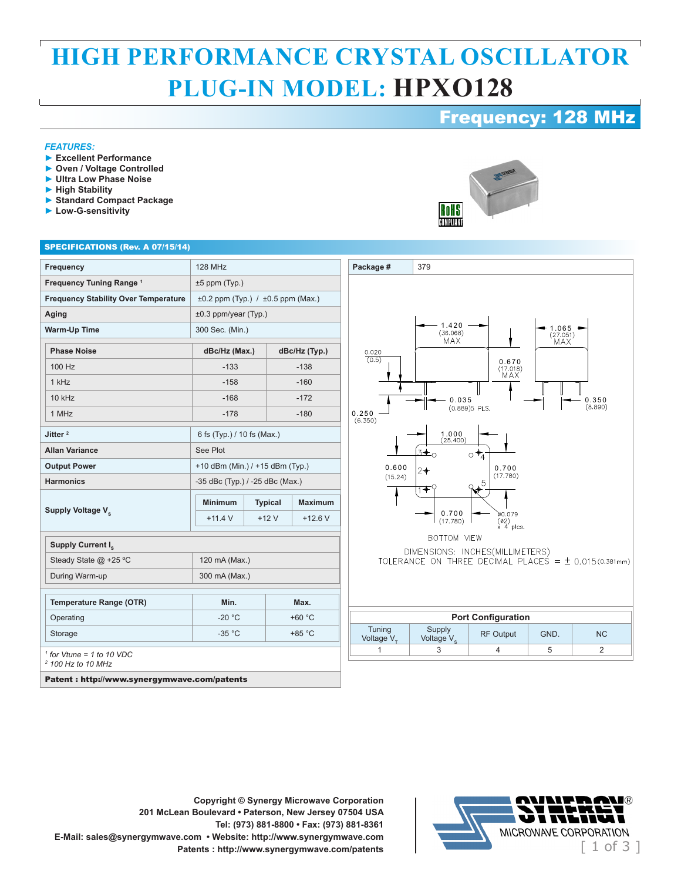## **HIGH PERFORMANCE CRYSTAL OSCILLATOR PLUG-IN MODEL: HPXO128**

**Package #** 379

### Frequency: 128 MHz

1.065<br>(27.051)<br>MAX

#### *FEATURES:*

- **► Excellent Performance**
- **► Oven / Voltage Controlled**
- **► Ultra Low Phase Noise**
- **► High Stability**
- **► Standard Compact Package**
- **► Low-G-sensitivity**

# RoHS COMPLIANT

 $1.420$ <br>(36.068)<br>MAX

#### SPECIFICATIONS (Rev. A 07/15/14)

|                                                                                                                        |                                             |                                 |                | <b>128 MHz</b> |  |  |  |
|------------------------------------------------------------------------------------------------------------------------|---------------------------------------------|---------------------------------|----------------|----------------|--|--|--|
| Frequency Tuning Range <sup>1</sup>                                                                                    | $±5$ ppm (Typ.)                             |                                 |                |                |  |  |  |
| <b>Frequency Stability Over Temperature</b>                                                                            | $\pm 0.2$ ppm (Typ.) / $\pm 0.5$ ppm (Max.) |                                 |                |                |  |  |  |
| Aging                                                                                                                  | $±0.3$ ppm/year (Typ.)                      |                                 |                |                |  |  |  |
| <b>Warm-Up Time</b>                                                                                                    |                                             | 300 Sec. (Min.)                 |                |                |  |  |  |
| <b>Phase Noise</b>                                                                                                     | dBc/Hz (Max.)                               |                                 | dBc/Hz (Typ.)  |                |  |  |  |
| 100 Hz                                                                                                                 | $-133$                                      |                                 | $-138$         |                |  |  |  |
| 1 kHz                                                                                                                  | $-158$                                      |                                 | $-160$         |                |  |  |  |
| $10$ kHz                                                                                                               | $-168$                                      |                                 | $-172$         |                |  |  |  |
| 1 MHz                                                                                                                  | $-178$                                      |                                 | $-180$         |                |  |  |  |
| Jitter <sup>2</sup>                                                                                                    |                                             | 6 fs (Typ.) / 10 fs (Max.)      |                |                |  |  |  |
| <b>Allan Variance</b>                                                                                                  | See Plot                                    |                                 |                |                |  |  |  |
| <b>Output Power</b>                                                                                                    |                                             | +10 dBm (Min.) / +15 dBm (Typ.) |                |                |  |  |  |
| <b>Harmonics</b>                                                                                                       |                                             | -35 dBc (Typ.) / -25 dBc (Max.) |                |                |  |  |  |
| Supply Voltage V.                                                                                                      | <b>Minimum</b>                              |                                 | <b>Typical</b> | <b>Maximum</b> |  |  |  |
|                                                                                                                        | $+11.4$ V                                   |                                 | $+12V$         | $+12.6$ V      |  |  |  |
| Supply Current I <sub>s</sub>                                                                                          |                                             |                                 |                |                |  |  |  |
| Steady State @ +25 °C                                                                                                  |                                             | 120 mA (Max.)                   |                |                |  |  |  |
| During Warm-up                                                                                                         | 300 mA (Max.)                               |                                 |                |                |  |  |  |
| <b>Temperature Range (OTR)</b>                                                                                         | Min.                                        |                                 | Max.           |                |  |  |  |
| Operating                                                                                                              | $-20 °C$                                    |                                 | $+60 °C$       |                |  |  |  |
| Storage                                                                                                                | $-35 °C$                                    |                                 | $+85 °C$       |                |  |  |  |
| $\frac{1}{1}$ for Vtune = 1 to 10 VDC<br><sup>2</sup> 100 Hz to 10 MHz<br>Patent : http://www.synergymwave.com/patents |                                             |                                 |                |                |  |  |  |





**Copyright © Synergy Microwave Corporation 201 McLean Boulevard • Paterson, New Jersey 07504 USA Tel: (973) 881-8800 • Fax: (973) 881-8361 E-Mail: sales@synergymwave.com • Website: http://www.synergymwave.com**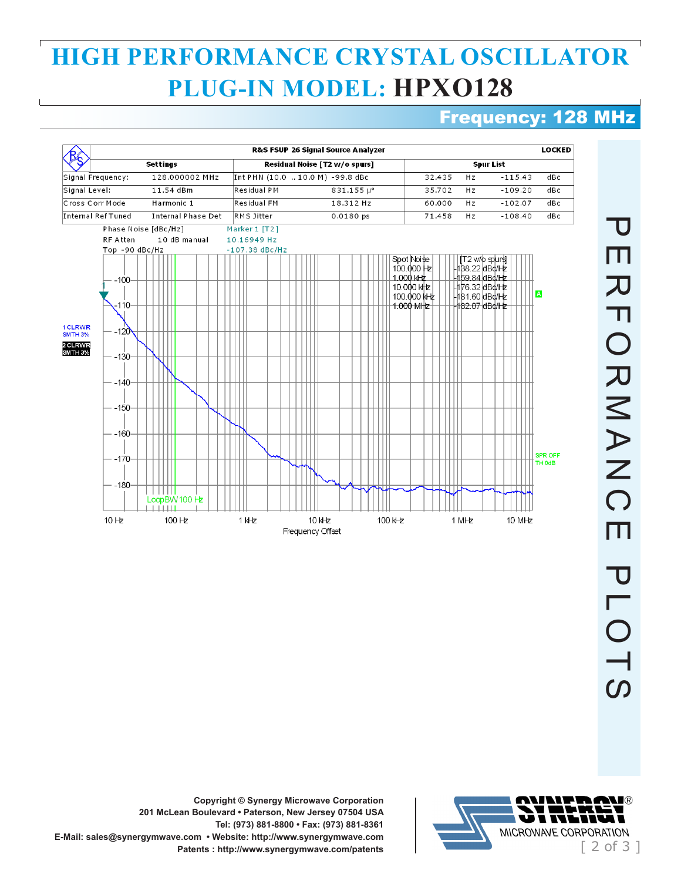## **HIGH PERFORMANCE CRYSTAL OSCILLATOR PLUG-IN MODEL: HPXO128**

### Frequency: 128 MHz





**Copyright © Synergy Microwave Corporation 201 McLean Boulevard • Paterson, New Jersey 07504 USA Tel: (973) 881-8800 • Fax: (973) 881-8361 E-Mail: sales@synergymwave.com • Website: http://www.synergymwave.com**